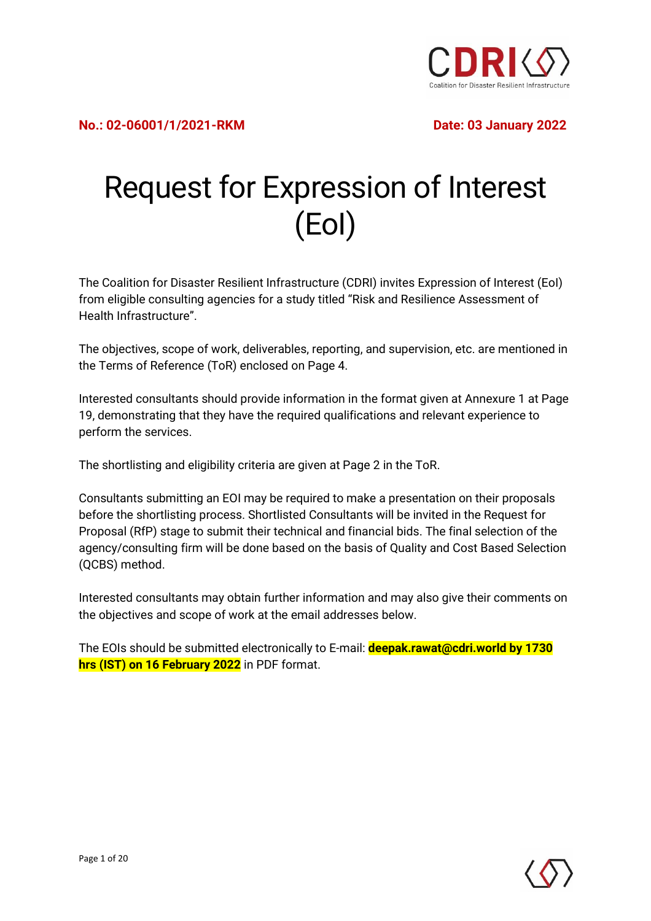

# Request for Expression of Interest (EoI)

The Coalition for Disaster Resilient Infrastructure (CDRI) invites Expression of Interest (EoI) from eligible consulting agencies for a study titled "Risk and Resilience Assessment of Health Infrastructure".

The objectives, scope of work, deliverables, reporting, and supervision, etc. are mentioned in the Terms of Reference (ToR) enclosed on Page 4.

Interested consultants should provide information in the format given at Annexure 1 at Page 19, demonstrating that they have the required qualifications and relevant experience to perform the services.

The shortlisting and eligibility criteria are given at Page 2 in the ToR.

Consultants submitting an EOI may be required to make a presentation on their proposals before the shortlisting process. Shortlisted Consultants will be invited in the Request for Proposal (RfP) stage to submit their technical and financial bids. The final selection of the agency/consulting firm will be done based on the basis of Quality and Cost Based Selection (QCBS) method.

Interested consultants may obtain further information and may also give their comments on the objectives and scope of work at the email addresses below.

The EOIs should be submitted electronically to E-mail: **deepak.rawat@cdri.world by 1730 hrs (IST) on 16 February 2022** in PDF format.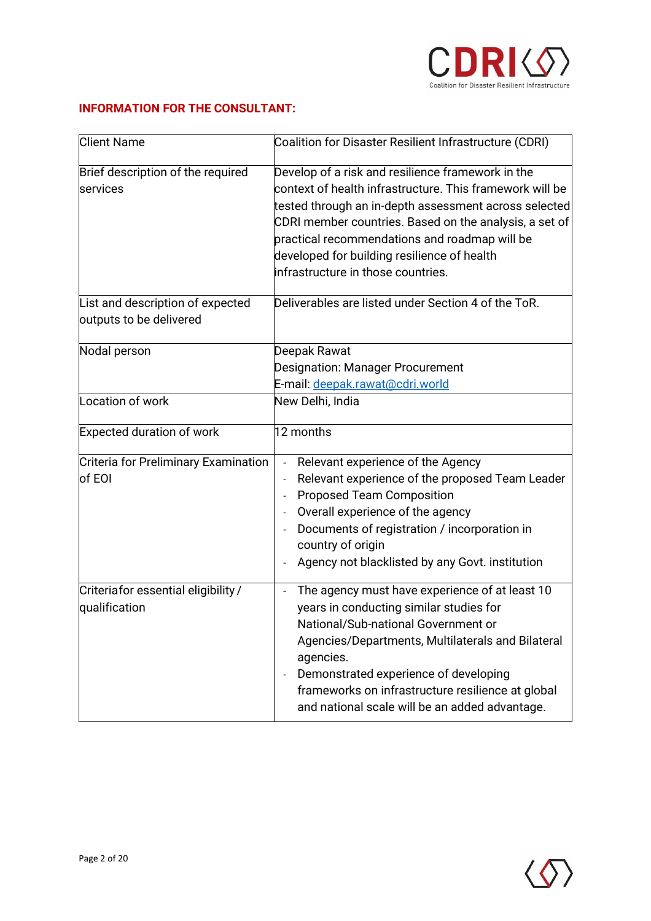

#### **INFORMATION FOR THE CONSULTANT:**

| <b>Client Name</b>                                          | Coalition for Disaster Resilient Infrastructure (CDRI)                                                                                                                                                                                                                                                                                                                         |  |  |  |
|-------------------------------------------------------------|--------------------------------------------------------------------------------------------------------------------------------------------------------------------------------------------------------------------------------------------------------------------------------------------------------------------------------------------------------------------------------|--|--|--|
| Brief description of the required<br>services               | Develop of a risk and resilience framework in the<br>context of health infrastructure. This framework will be<br>tested through an in-depth assessment across selected<br>CDRI member countries. Based on the analysis, a set of<br>practical recommendations and roadmap will be<br>developed for building resilience of health<br>infrastructure in those countries.         |  |  |  |
| List and description of expected<br>outputs to be delivered | Deliverables are listed under Section 4 of the ToR.                                                                                                                                                                                                                                                                                                                            |  |  |  |
| Nodal person                                                | Deepak Rawat<br><b>Designation: Manager Procurement</b><br>E-mail: deepak.rawat@cdri.world                                                                                                                                                                                                                                                                                     |  |  |  |
| Location of work                                            | New Delhi, India                                                                                                                                                                                                                                                                                                                                                               |  |  |  |
| <b>Expected duration of work</b>                            | 12 months                                                                                                                                                                                                                                                                                                                                                                      |  |  |  |
| Criteria for Preliminary Examination<br>of EOI              | Relevant experience of the Agency<br>$\blacksquare$<br>Relevant experience of the proposed Team Leader<br><b>Proposed Team Composition</b><br>Overall experience of the agency<br>$\overline{\phantom{a}}$<br>Documents of registration / incorporation in<br>country of origin<br>Agency not blacklisted by any Govt. institution                                             |  |  |  |
| Criteriafor essential eligibility /<br>qualification        | The agency must have experience of at least 10<br>$\overline{\phantom{a}}$<br>years in conducting similar studies for<br>National/Sub-national Government or<br>Agencies/Departments, Multilaterals and Bilateral<br>agencies.<br>Demonstrated experience of developing<br>frameworks on infrastructure resilience at global<br>and national scale will be an added advantage. |  |  |  |

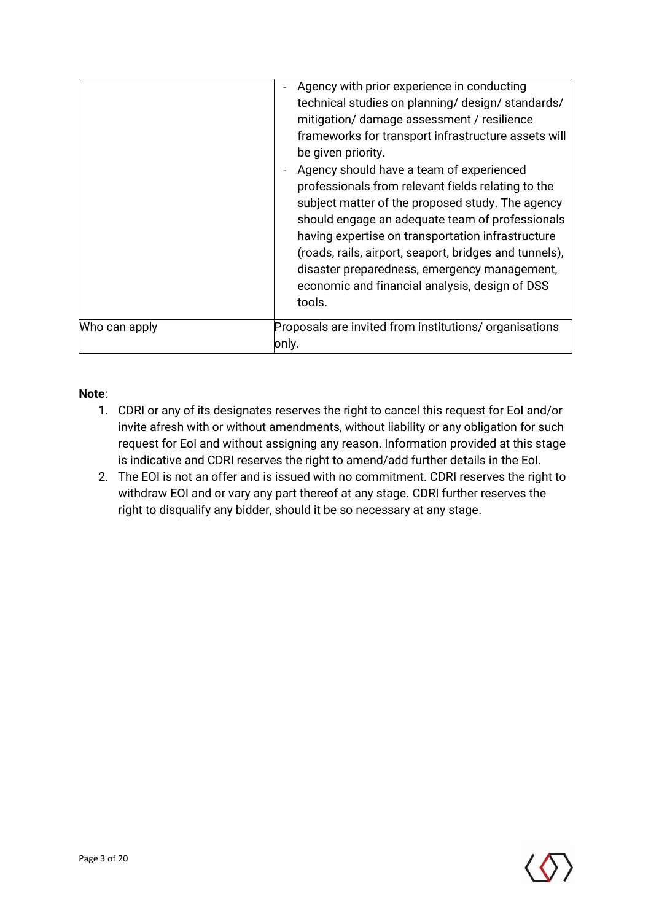|               | Agency with prior experience in conducting<br>technical studies on planning/ design/ standards/<br>mitigation/ damage assessment / resilience<br>frameworks for transport infrastructure assets will<br>be given priority.<br>Agency should have a team of experienced<br>professionals from relevant fields relating to the<br>subject matter of the proposed study. The agency<br>should engage an adequate team of professionals<br>having expertise on transportation infrastructure<br>(roads, rails, airport, seaport, bridges and tunnels),<br>disaster preparedness, emergency management,<br>economic and financial analysis, design of DSS<br>tools. |
|---------------|----------------------------------------------------------------------------------------------------------------------------------------------------------------------------------------------------------------------------------------------------------------------------------------------------------------------------------------------------------------------------------------------------------------------------------------------------------------------------------------------------------------------------------------------------------------------------------------------------------------------------------------------------------------|
| Who can apply | Proposals are invited from institutions/organisations<br>only.                                                                                                                                                                                                                                                                                                                                                                                                                                                                                                                                                                                                 |

#### **Note**:

- 1. CDRI or any of its designates reserves the right to cancel this request for EoI and/or invite afresh with or without amendments, without liability or any obligation for such request for EoI and without assigning any reason. Information provided at this stage is indicative and CDRI reserves the right to amend/add further details in the EoI.
- 2. The EOI is not an offer and is issued with no commitment. CDRI reserves the right to withdraw EOI and or vary any part thereof at any stage. CDRI further reserves the right to disqualify any bidder, should it be so necessary at any stage.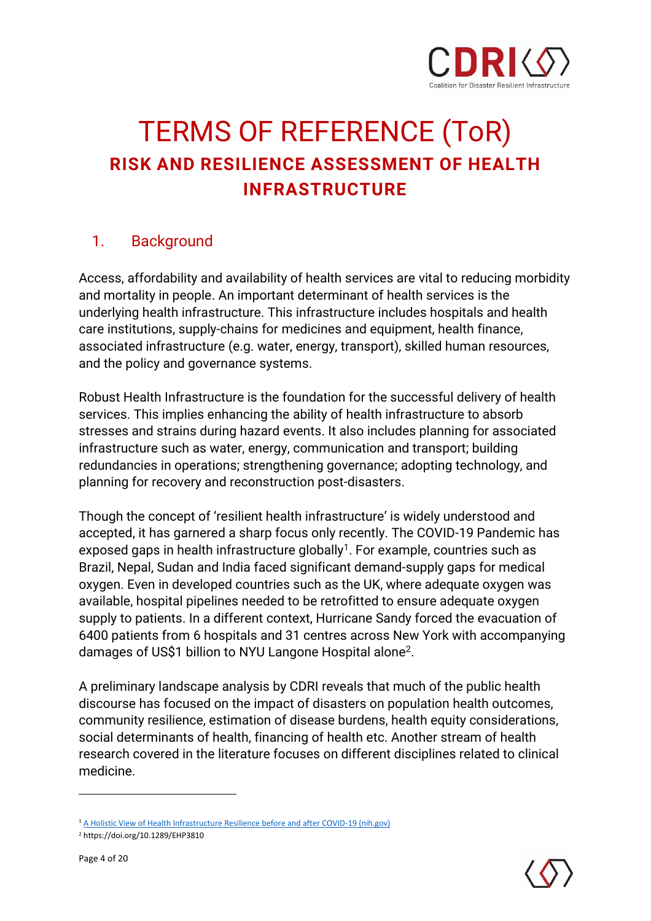

## TERMS OF REFERENCE (ToR) **RISK AND RESILIENCE ASSESSMENT OF HEALTH INFRASTRUCTURE**

## 1. Background

Access, affordability and availability of health services are vital to reducing morbidity and mortality in people. An important determinant of health services is the underlying health infrastructure. This infrastructure includes hospitals and health care institutions, supply-chains for medicines and equipment, health finance, associated infrastructure (e.g. water, energy, transport), skilled human resources, and the policy and governance systems.

Robust Health Infrastructure is the foundation for the successful delivery of health services. This implies enhancing the ability of health infrastructure to absorb stresses and strains during hazard events. It also includes planning for associated infrastructure such as water, energy, communication and transport; building redundancies in operations; strengthening governance; adopting technology, and planning for recovery and reconstruction post-disasters.

Though the concept of 'resilient health infrastructure' is widely understood and accepted, it has garnered a sharp focus only recently. The COVID-19 Pandemic has exposed gaps in health infrastructure globally<sup>1</sup>. For example, countries such as Brazil, Nepal, Sudan and India faced significant demand-supply gaps for medical oxygen. Even in developed countries such as the UK, where adequate oxygen was available, hospital pipelines needed to be retrofitted to ensure adequate oxygen supply to patients. In a different context, Hurricane Sandy forced the evacuation of 6400 patients from 6 hospitals and 31 centres across New York with accompanying damages of US\$1 billion to NYU Langone Hospital alone<sup>2</sup> .

A preliminary landscape analysis by CDRI reveals that much of the public health discourse has focused on the impact of disasters on population health outcomes, community resilience, estimation of disease burdens, health equity considerations, social determinants of health, financing of health etc. Another stream of health research covered in the literature focuses on different disciplines related to clinical medicine.



<sup>&</sup>lt;sup>1</sup> [A Holistic View of Health Infrastructure Resilience before and after COVID-19 \(nih.gov\)](https://www.ncbi.nlm.nih.gov/pmc/articles/PMC7296592/)

<sup>2</sup> https://doi.org/10.1289/EHP3810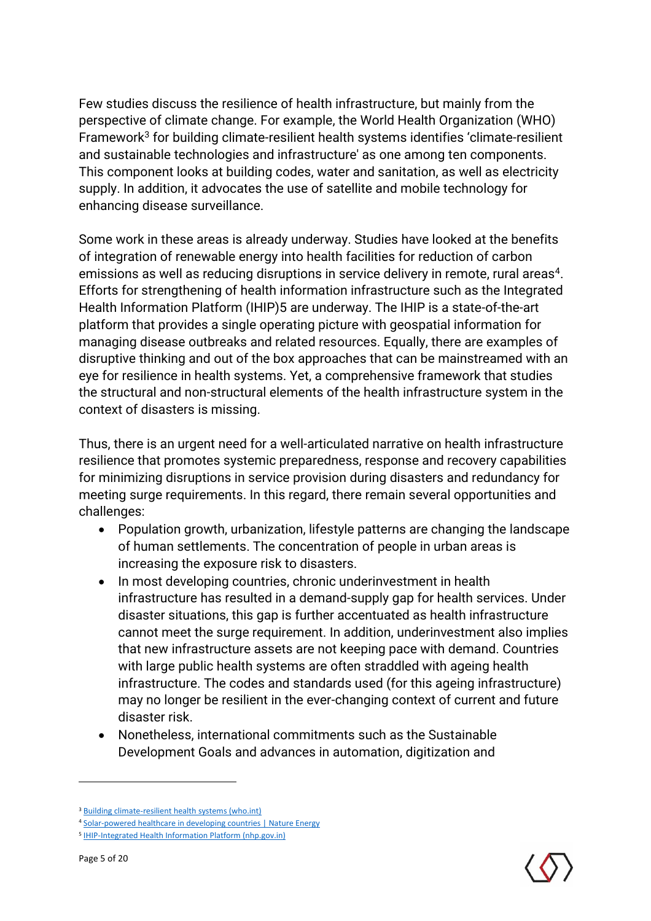Few studies discuss the resilience of health infrastructure, but mainly from the perspective of climate change. For example, the World Health Organization (WHO) Framework<sup>3</sup> for building climate-resilient health systems identifies 'climate-resilient and sustainable technologies and infrastructure' as one among ten components. This component looks at building codes, water and sanitation, as well as electricity supply. In addition, it advocates the use of satellite and mobile technology for enhancing disease surveillance.

Some work in these areas is already underway. Studies have looked at the benefits of integration of renewable energy into health facilities for reduction of carbon emissions as well as reducing disruptions in service delivery in remote, rural areas $^4\!$ . Efforts for strengthening of health information infrastructure such as the Integrated Health Information Platform (IHIP)5 are underway. The IHIP is a state-of-the-art platform that provides a single operating picture with geospatial information for managing disease outbreaks and related resources. Equally, there are examples of disruptive thinking and out of the box approaches that can be mainstreamed with an eye for resilience in health systems. Yet, a comprehensive framework that studies the structural and non-structural elements of the health infrastructure system in the context of disasters is missing.

Thus, there is an urgent need for a well-articulated narrative on health infrastructure resilience that promotes systemic preparedness, response and recovery capabilities for minimizing disruptions in service provision during disasters and redundancy for meeting surge requirements. In this regard, there remain several opportunities and challenges:

- Population growth, urbanization, lifestyle patterns are changing the landscape of human settlements. The concentration of people in urban areas is increasing the exposure risk to disasters.
- In most developing countries, chronic underinvestment in health infrastructure has resulted in a demand-supply gap for health services. Under disaster situations, this gap is further accentuated as health infrastructure cannot meet the surge requirement. In addition, underinvestment also implies that new infrastructure assets are not keeping pace with demand. Countries with large public health systems are often straddled with ageing health infrastructure. The codes and standards used (for this ageing infrastructure) may no longer be resilient in the ever-changing context of current and future disaster risk.
- Nonetheless, international commitments such as the Sustainable Development Goals and advances in automation, digitization and



<sup>3</sup> [Building climate-resilient health systems \(who.int\)](https://www.who.int/activities/supporting-countries-to-protect-human-health-from-climate-change/climate-resilient-health-systems)

<sup>4</sup> [Solar-powered healthcare in developing countries | Nature Energy](https://www.nature.com/articles/s41560-018-0205-1?WT.feed_name=subjects_developing-world)

<sup>&</sup>lt;sup>5</sup> [IHIP-Integrated Health Information Platform \(nhp.gov.in\)](https://ihip.nhp.gov.in/#!/)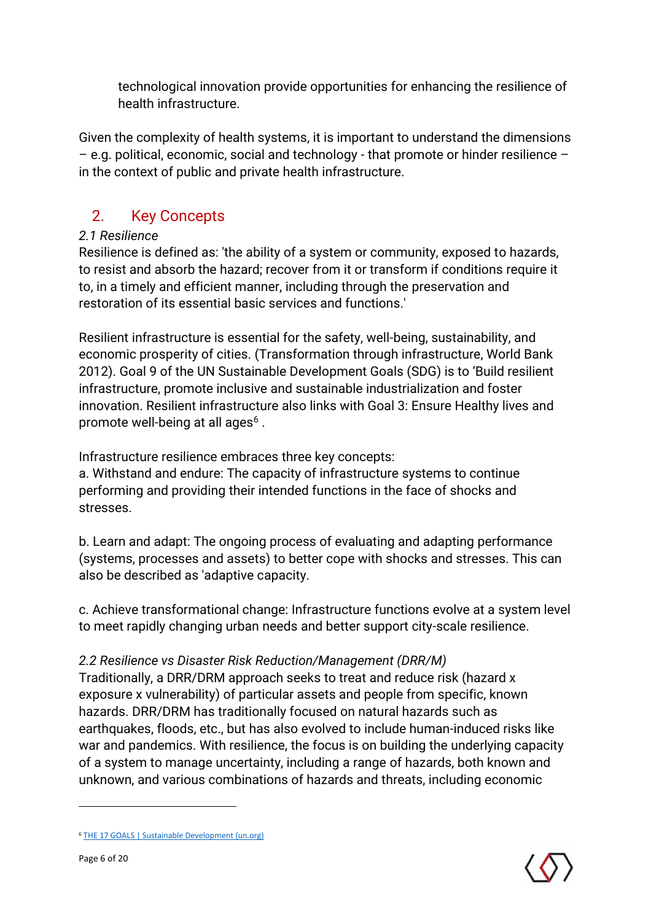technological innovation provide opportunities for enhancing the resilience of health infrastructure.

Given the complexity of health systems, it is important to understand the dimensions – e.g. political, economic, social and technology - that promote or hinder resilience – in the context of public and private health infrastructure.

## 2. Key Concepts

#### *2.1 Resilience*

Resilience is defined as: 'the ability of a system or community, exposed to hazards, to resist and absorb the hazard; recover from it or transform if conditions require it to, in a timely and efficient manner, including through the preservation and restoration of its essential basic services and functions.'

Resilient infrastructure is essential for the safety, well-being, sustainability, and economic prosperity of cities. (Transformation through infrastructure, World Bank 2012). Goal 9 of the UN Sustainable Development Goals (SDG) is to 'Build resilient infrastructure, promote inclusive and sustainable industrialization and foster innovation. Resilient infrastructure also links with Goal 3: Ensure Healthy lives and promote well-being at all ages $^6$  .

Infrastructure resilience embraces three key concepts:

a. Withstand and endure: The capacity of infrastructure systems to continue performing and providing their intended functions in the face of shocks and stresses.

b. Learn and adapt: The ongoing process of evaluating and adapting performance (systems, processes and assets) to better cope with shocks and stresses. This can also be described as 'adaptive capacity.

c. Achieve transformational change: Infrastructure functions evolve at a system level to meet rapidly changing urban needs and better support city-scale resilience.

#### *2.2 Resilience vs Disaster Risk Reduction/Management (DRR/M)*

Traditionally, a DRR/DRM approach seeks to treat and reduce risk (hazard x exposure x vulnerability) of particular assets and people from specific, known hazards. DRR/DRM has traditionally focused on natural hazards such as earthquakes, floods, etc., but has also evolved to include human-induced risks like war and pandemics. With resilience, the focus is on building the underlying capacity of a system to manage uncertainty, including a range of hazards, both known and unknown, and various combinations of hazards and threats, including economic

<sup>6</sup> [THE 17 GOALS | Sustainable Development \(un.org\)](https://sdgs.un.org/goals)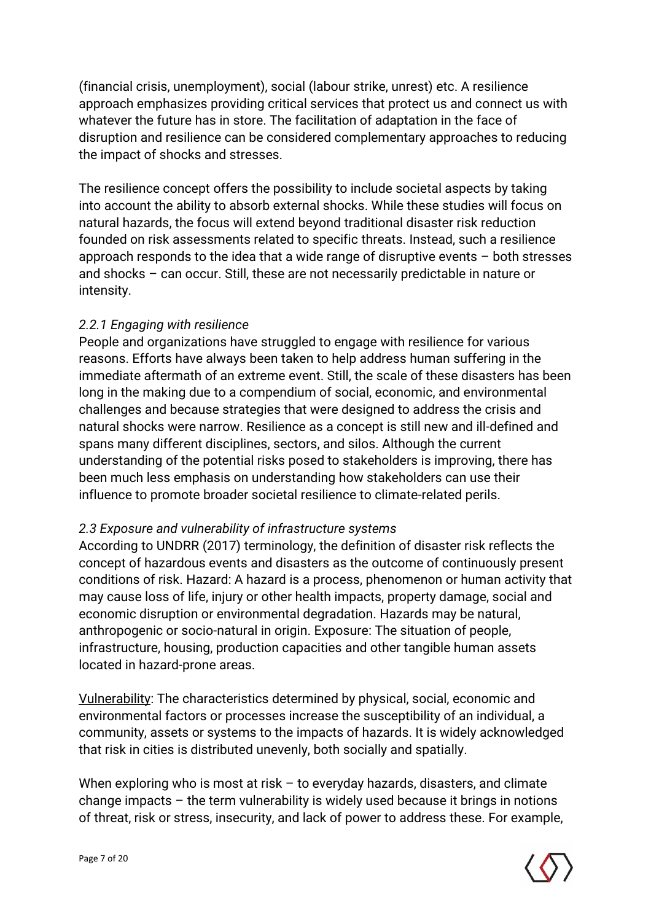(financial crisis, unemployment), social (labour strike, unrest) etc. A resilience approach emphasizes providing critical services that protect us and connect us with whatever the future has in store. The facilitation of adaptation in the face of disruption and resilience can be considered complementary approaches to reducing the impact of shocks and stresses.

The resilience concept offers the possibility to include societal aspects by taking into account the ability to absorb external shocks. While these studies will focus on natural hazards, the focus will extend beyond traditional disaster risk reduction founded on risk assessments related to specific threats. Instead, such a resilience approach responds to the idea that a wide range of disruptive events – both stresses and shocks – can occur. Still, these are not necessarily predictable in nature or intensity.

#### *2.2.1 Engaging with resilience*

People and organizations have struggled to engage with resilience for various reasons. Efforts have always been taken to help address human suffering in the immediate aftermath of an extreme event. Still, the scale of these disasters has been long in the making due to a compendium of social, economic, and environmental challenges and because strategies that were designed to address the crisis and natural shocks were narrow. Resilience as a concept is still new and ill-defined and spans many different disciplines, sectors, and silos. Although the current understanding of the potential risks posed to stakeholders is improving, there has been much less emphasis on understanding how stakeholders can use their influence to promote broader societal resilience to climate-related perils.

#### *2.3 Exposure and vulnerability of infrastructure systems*

According to UNDRR (2017) terminology, the definition of disaster risk reflects the concept of hazardous events and disasters as the outcome of continuously present conditions of risk. Hazard: A hazard is a process, phenomenon or human activity that may cause loss of life, injury or other health impacts, property damage, social and economic disruption or environmental degradation. Hazards may be natural, anthropogenic or socio-natural in origin. Exposure: The situation of people, infrastructure, housing, production capacities and other tangible human assets located in hazard-prone areas.

Vulnerability: The characteristics determined by physical, social, economic and environmental factors or processes increase the susceptibility of an individual, a community, assets or systems to the impacts of hazards. It is widely acknowledged that risk in cities is distributed unevenly, both socially and spatially.

When exploring who is most at risk – to everyday hazards, disasters, and climate change impacts – the term vulnerability is widely used because it brings in notions of threat, risk or stress, insecurity, and lack of power to address these. For example,

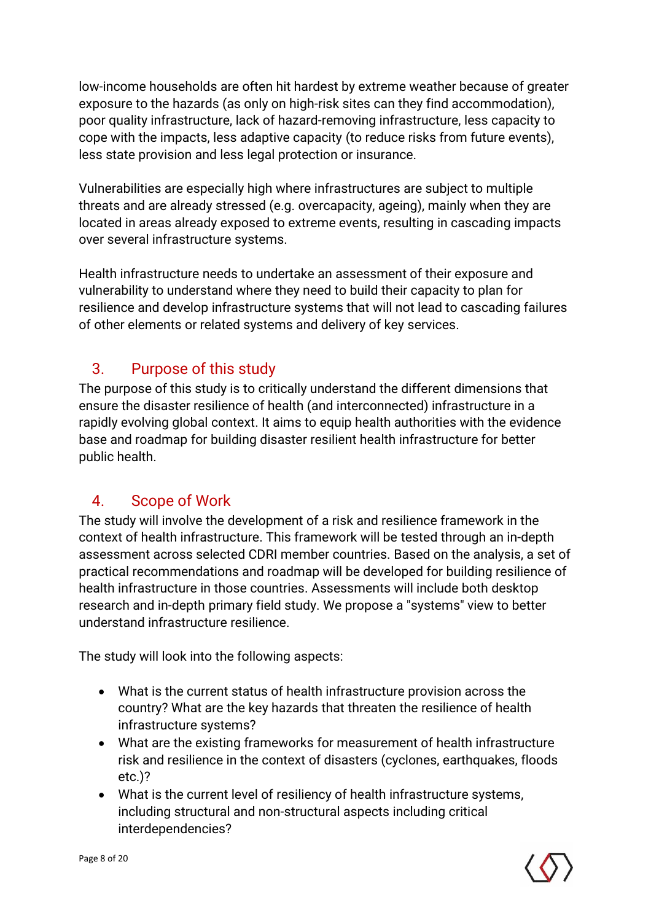low-income households are often hit hardest by extreme weather because of greater exposure to the hazards (as only on high-risk sites can they find accommodation), poor quality infrastructure, lack of hazard-removing infrastructure, less capacity to cope with the impacts, less adaptive capacity (to reduce risks from future events), less state provision and less legal protection or insurance.

Vulnerabilities are especially high where infrastructures are subject to multiple threats and are already stressed (e.g. overcapacity, ageing), mainly when they are located in areas already exposed to extreme events, resulting in cascading impacts over several infrastructure systems.

Health infrastructure needs to undertake an assessment of their exposure and vulnerability to understand where they need to build their capacity to plan for resilience and develop infrastructure systems that will not lead to cascading failures of other elements or related systems and delivery of key services.

## 3. Purpose of this study

The purpose of this study is to critically understand the different dimensions that ensure the disaster resilience of health (and interconnected) infrastructure in a rapidly evolving global context. It aims to equip health authorities with the evidence base and roadmap for building disaster resilient health infrastructure for better public health.

#### 4. Scope of Work

The study will involve the development of a risk and resilience framework in the context of health infrastructure. This framework will be tested through an in-depth assessment across selected CDRI member countries. Based on the analysis, a set of practical recommendations and roadmap will be developed for building resilience of health infrastructure in those countries. Assessments will include both desktop research and in-depth primary field study. We propose a "systems" view to better understand infrastructure resilience.

The study will look into the following aspects:

- What is the current status of health infrastructure provision across the country? What are the key hazards that threaten the resilience of health infrastructure systems?
- What are the existing frameworks for measurement of health infrastructure risk and resilience in the context of disasters (cyclones, earthquakes, floods etc.)?
- What is the current level of resiliency of health infrastructure systems, including structural and non-structural aspects including critical interdependencies?

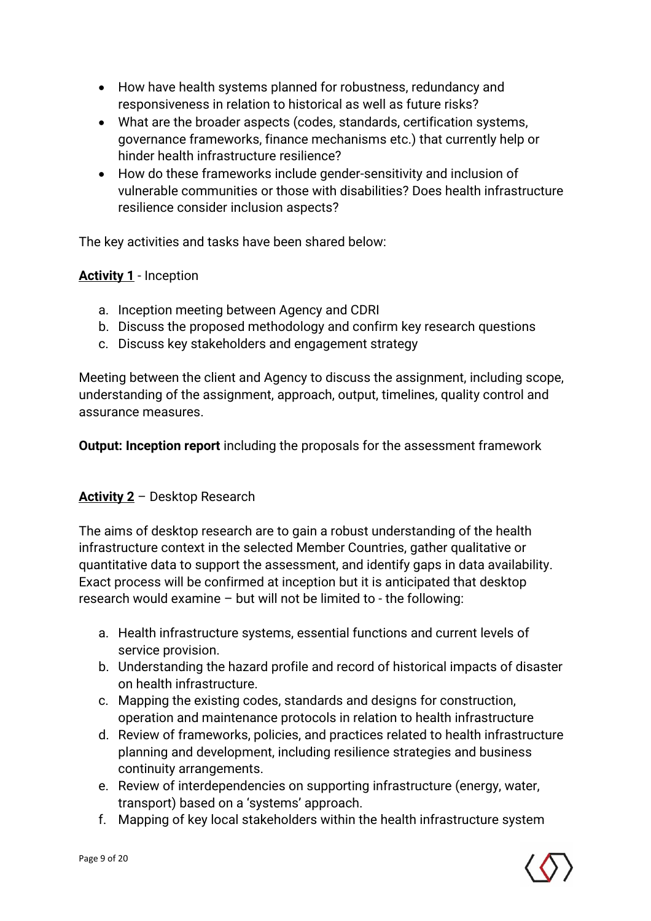- How have health systems planned for robustness, redundancy and responsiveness in relation to historical as well as future risks?
- What are the broader aspects (codes, standards, certification systems, governance frameworks, finance mechanisms etc.) that currently help or hinder health infrastructure resilience?
- How do these frameworks include gender-sensitivity and inclusion of vulnerable communities or those with disabilities? Does health infrastructure resilience consider inclusion aspects?

The key activities and tasks have been shared below:

#### **Activity 1** - Inception

- a. Inception meeting between Agency and CDRI
- b. Discuss the proposed methodology and confirm key research questions
- c. Discuss key stakeholders and engagement strategy

Meeting between the client and Agency to discuss the assignment, including scope, understanding of the assignment, approach, output, timelines, quality control and assurance measures.

**Output: Inception report** including the proposals for the assessment framework

#### **Activity 2** – Desktop Research

The aims of desktop research are to gain a robust understanding of the health infrastructure context in the selected Member Countries, gather qualitative or quantitative data to support the assessment, and identify gaps in data availability. Exact process will be confirmed at inception but it is anticipated that desktop research would examine – but will not be limited to - the following:

- a. Health infrastructure systems, essential functions and current levels of service provision.
- b. Understanding the hazard profile and record of historical impacts of disaster on health infrastructure.
- c. Mapping the existing codes, standards and designs for construction, operation and maintenance protocols in relation to health infrastructure
- d. Review of frameworks, policies, and practices related to health infrastructure planning and development, including resilience strategies and business continuity arrangements.
- e. Review of interdependencies on supporting infrastructure (energy, water, transport) based on a 'systems' approach.
- f. Mapping of key local stakeholders within the health infrastructure system

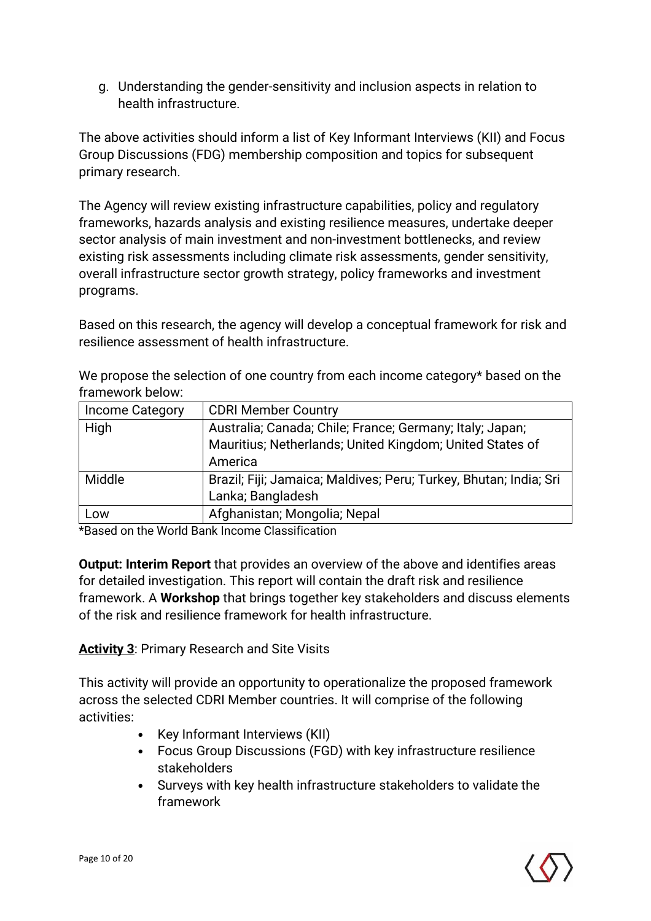g. Understanding the gender-sensitivity and inclusion aspects in relation to health infrastructure.

The above activities should inform a list of Key Informant Interviews (KII) and Focus Group Discussions (FDG) membership composition and topics for subsequent primary research.

The Agency will review existing infrastructure capabilities, policy and regulatory frameworks, hazards analysis and existing resilience measures, undertake deeper sector analysis of main investment and non-investment bottlenecks, and review existing risk assessments including climate risk assessments, gender sensitivity, overall infrastructure sector growth strategy, policy frameworks and investment programs.

Based on this research, the agency will develop a conceptual framework for risk and resilience assessment of health infrastructure.

|                   | We propose the selection of one country from each income category* based on the |
|-------------------|---------------------------------------------------------------------------------|
| framework below:  |                                                                                 |
| l Income Category | I CDRI Member Country                                                           |

| Income Category | <b>CDRI Member Country</b>                                                                                           |  |
|-----------------|----------------------------------------------------------------------------------------------------------------------|--|
| High            | Australia; Canada; Chile; France; Germany; Italy; Japan;<br>Mauritius; Netherlands; United Kingdom; United States of |  |
|                 | America                                                                                                              |  |
| Middle          | Brazil; Fiji; Jamaica; Maldives; Peru; Turkey, Bhutan; India; Sri                                                    |  |
|                 | Lanka; Bangladesh                                                                                                    |  |
| Low             | Afghanistan; Mongolia; Nepal                                                                                         |  |

\*Based on the World Bank Income Classification

**Output: Interim Report** that provides an overview of the above and identifies areas for detailed investigation. This report will contain the draft risk and resilience framework. A **Workshop** that brings together key stakeholders and discuss elements of the risk and resilience framework for health infrastructure.

**Activity 3**: Primary Research and Site Visits

This activity will provide an opportunity to operationalize the proposed framework across the selected CDRI Member countries. It will comprise of the following activities:

- Key Informant Interviews (KII)
- Focus Group Discussions (FGD) with key infrastructure resilience stakeholders
- Surveys with key health infrastructure stakeholders to validate the framework

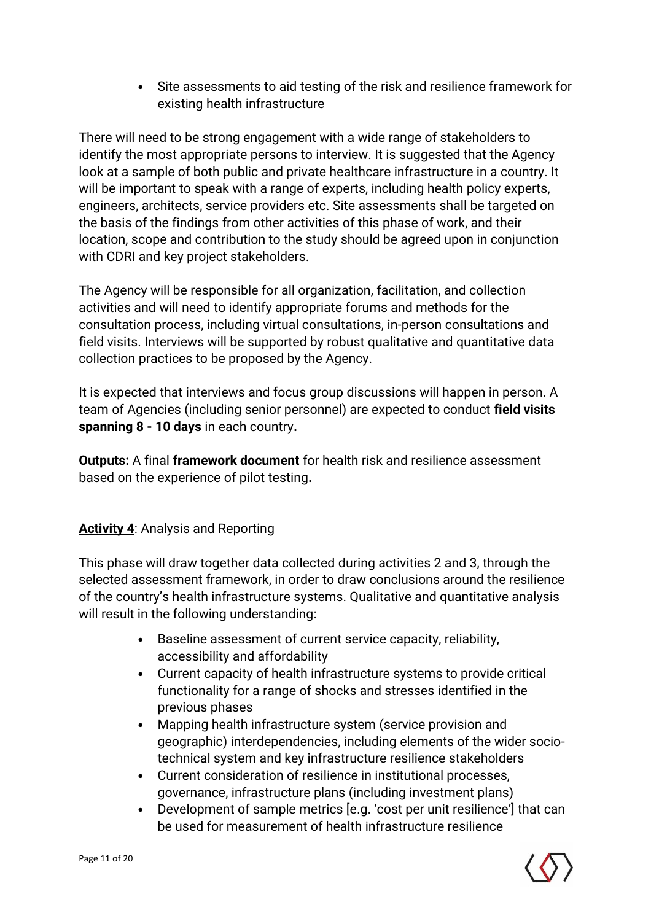• Site assessments to aid testing of the risk and resilience framework for existing health infrastructure

There will need to be strong engagement with a wide range of stakeholders to identify the most appropriate persons to interview. It is suggested that the Agency look at a sample of both public and private healthcare infrastructure in a country. It will be important to speak with a range of experts, including health policy experts, engineers, architects, service providers etc. Site assessments shall be targeted on the basis of the findings from other activities of this phase of work, and their location, scope and contribution to the study should be agreed upon in conjunction with CDRI and key project stakeholders.

The Agency will be responsible for all organization, facilitation, and collection activities and will need to identify appropriate forums and methods for the consultation process, including virtual consultations, in-person consultations and field visits. Interviews will be supported by robust qualitative and quantitative data collection practices to be proposed by the Agency.

It is expected that interviews and focus group discussions will happen in person. A team of Agencies (including senior personnel) are expected to conduct **field visits spanning 8 - 10 days** in each country**.**

**Outputs:** A final **framework document** for health risk and resilience assessment based on the experience of pilot testing**.** 

#### **Activity 4: Analysis and Reporting**

This phase will draw together data collected during activities 2 and 3, through the selected assessment framework, in order to draw conclusions around the resilience of the country's health infrastructure systems. Qualitative and quantitative analysis will result in the following understanding:

- Baseline assessment of current service capacity, reliability, accessibility and affordability
- Current capacity of health infrastructure systems to provide critical functionality for a range of shocks and stresses identified in the previous phases
- Mapping health infrastructure system (service provision and geographic) interdependencies, including elements of the wider sociotechnical system and key infrastructure resilience stakeholders
- Current consideration of resilience in institutional processes, governance, infrastructure plans (including investment plans)
- Development of sample metrics [e.g. 'cost per unit resilience'] that can be used for measurement of health infrastructure resilience

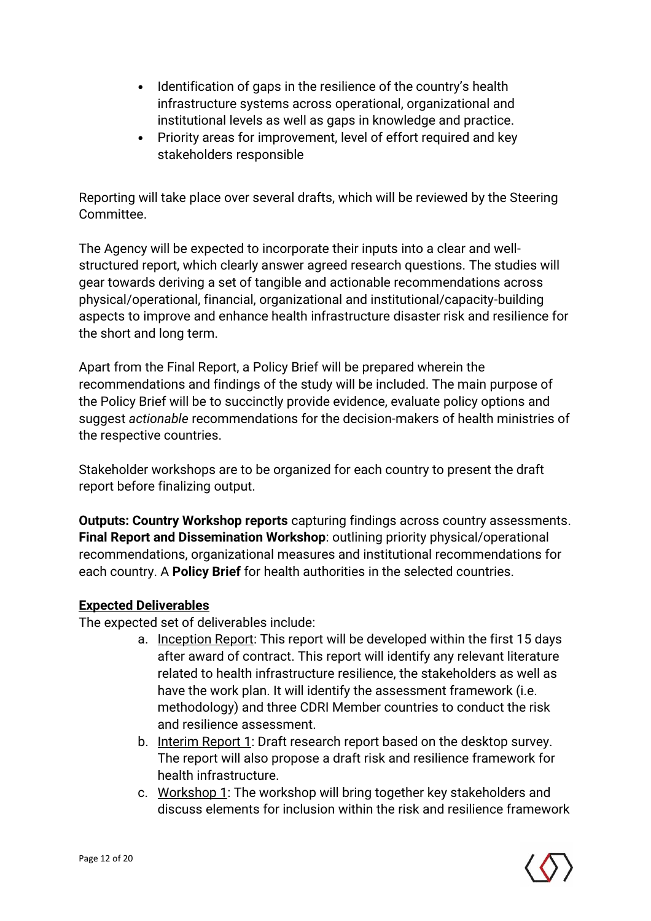- Identification of gaps in the resilience of the country's health infrastructure systems across operational, organizational and institutional levels as well as gaps in knowledge and practice.
- Priority areas for improvement, level of effort required and key stakeholders responsible

Reporting will take place over several drafts, which will be reviewed by the Steering Committee.

The Agency will be expected to incorporate their inputs into a clear and wellstructured report, which clearly answer agreed research questions. The studies will gear towards deriving a set of tangible and actionable recommendations across physical/operational, financial, organizational and institutional/capacity-building aspects to improve and enhance health infrastructure disaster risk and resilience for the short and long term.

Apart from the Final Report, a Policy Brief will be prepared wherein the recommendations and findings of the study will be included. The main purpose of the Policy Brief will be to succinctly provide evidence, evaluate policy options and suggest *actionable* recommendations for the decision-makers of health ministries of the respective countries.

Stakeholder workshops are to be organized for each country to present the draft report before finalizing output.

**Outputs: Country Workshop reports** capturing findings across country assessments. **Final Report and Dissemination Workshop**: outlining priority physical/operational recommendations, organizational measures and institutional recommendations for each country. A **Policy Brief** for health authorities in the selected countries.

#### **Expected Deliverables**

The expected set of deliverables include:

- a. Inception Report: This report will be developed within the first 15 days after award of contract. This report will identify any relevant literature related to health infrastructure resilience, the stakeholders as well as have the work plan. It will identify the assessment framework (i.e. methodology) and three CDRI Member countries to conduct the risk and resilience assessment.
- b. Interim Report 1: Draft research report based on the desktop survey. The report will also propose a draft risk and resilience framework for health infrastructure.
- c. Workshop 1: The workshop will bring together key stakeholders and discuss elements for inclusion within the risk and resilience framework

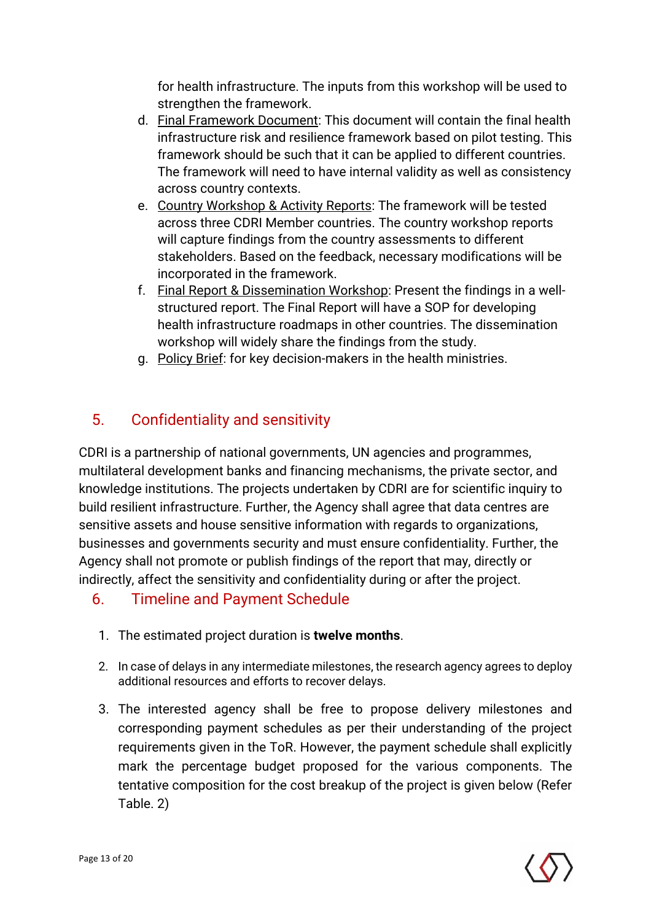for health infrastructure. The inputs from this workshop will be used to strengthen the framework.

- d. Final Framework Document: This document will contain the final health infrastructure risk and resilience framework based on pilot testing. This framework should be such that it can be applied to different countries. The framework will need to have internal validity as well as consistency across country contexts.
- e. Country Workshop & Activity Reports: The framework will be tested across three CDRI Member countries. The country workshop reports will capture findings from the country assessments to different stakeholders. Based on the feedback, necessary modifications will be incorporated in the framework.
- f. Final Report & Dissemination Workshop: Present the findings in a wellstructured report. The Final Report will have a SOP for developing health infrastructure roadmaps in other countries. The dissemination workshop will widely share the findings from the study.
- g. Policy Brief: for key decision-makers in the health ministries.

## 5. Confidentiality and sensitivity

CDRI is a partnership of national governments, UN agencies and programmes, multilateral development banks and financing mechanisms, the private sector, and knowledge institutions. The projects undertaken by CDRI are for scientific inquiry to build resilient infrastructure. Further, the Agency shall agree that data centres are sensitive assets and house sensitive information with regards to organizations, businesses and governments security and must ensure confidentiality. Further, the Agency shall not promote or publish findings of the report that may, directly or indirectly, affect the sensitivity and confidentiality during or after the project.

## 6. Timeline and Payment Schedule

- 1. The estimated project duration is **twelve months**.
- 2. In case of delays in any intermediate milestones, the research agency agrees to deploy additional resources and efforts to recover delays.
- 3. The interested agency shall be free to propose delivery milestones and corresponding payment schedules as per their understanding of the project requirements given in the ToR. However, the payment schedule shall explicitly mark the percentage budget proposed for the various components. The tentative composition for the cost breakup of the project is given below (Refer Table. 2)

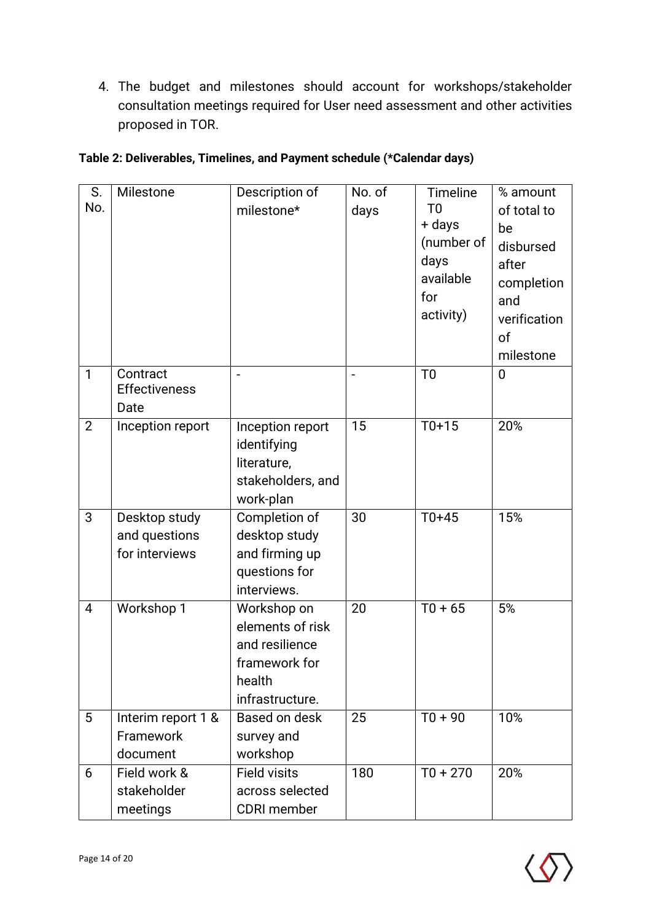4. The budget and milestones should account for workshops/stakeholder consultation meetings required for User need assessment and other activities proposed in TOR.

| S.<br>No.      | Milestone                    | Description of                  | No. of | Timeline                 | % amount          |
|----------------|------------------------------|---------------------------------|--------|--------------------------|-------------------|
|                |                              | milestone*                      | days   | T <sub>0</sub><br>+ days | of total to<br>be |
|                |                              |                                 |        | (number of               | disbursed         |
|                |                              |                                 |        | days                     | after             |
|                |                              |                                 |        | available                | completion        |
|                |                              |                                 |        | for                      | and               |
|                |                              |                                 |        | activity)                | verification      |
|                |                              |                                 |        |                          | of                |
|                |                              |                                 |        |                          | milestone         |
| $\mathbf{1}$   | Contract                     |                                 |        | T <sub>0</sub>           | $\overline{0}$    |
|                | <b>Effectiveness</b><br>Date |                                 |        |                          |                   |
| $\overline{2}$ | Inception report             | Inception report                | 15     | $T0+15$                  | 20%               |
|                |                              | identifying                     |        |                          |                   |
|                |                              | literature,                     |        |                          |                   |
|                |                              | stakeholders, and               |        |                          |                   |
|                |                              | work-plan                       |        |                          |                   |
| 3              | Desktop study                | Completion of                   | 30     | $T0+45$                  | 15%               |
|                | and questions                | desktop study                   |        |                          |                   |
|                | for interviews               | and firming up                  |        |                          |                   |
|                |                              | questions for                   |        |                          |                   |
| $\overline{4}$ | Workshop 1                   | interviews.                     | 20     | $T0 + 65$                | 5%                |
|                |                              | Workshop on<br>elements of risk |        |                          |                   |
|                |                              | and resilience                  |        |                          |                   |
|                |                              | framework for                   |        |                          |                   |
|                |                              | health                          |        |                          |                   |
|                |                              | infrastructure.                 |        |                          |                   |
| 5              | Interim report 1 &           | Based on desk                   | 25     | $T0 + 90$                | 10%               |
|                | Framework                    | survey and                      |        |                          |                   |
|                | document                     | workshop                        |        |                          |                   |
| 6              | Field work &                 | <b>Field visits</b>             | 180    | $T0 + 270$               | 20%               |
|                | stakeholder                  | across selected                 |        |                          |                   |
|                | meetings                     | <b>CDRI</b> member              |        |                          |                   |

| Table 2: Deliverables, Timelines, and Payment schedule (*Calendar days) |  |  |  |
|-------------------------------------------------------------------------|--|--|--|
|                                                                         |  |  |  |

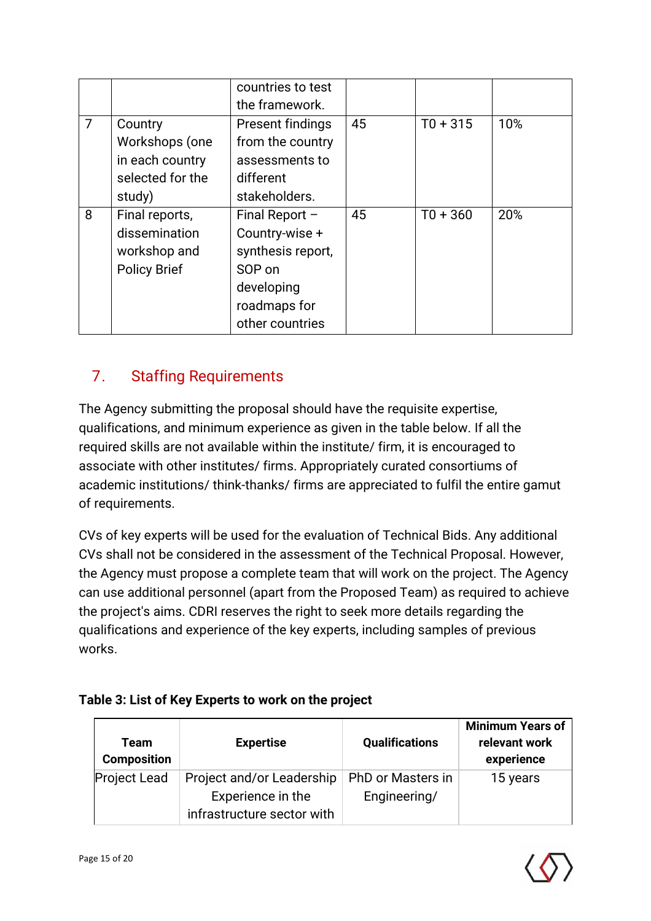|                |                     | countries to test |    |            |     |
|----------------|---------------------|-------------------|----|------------|-----|
|                |                     | the framework.    |    |            |     |
| $\overline{7}$ | Country             | Present findings  | 45 | $T0 + 315$ | 10% |
|                | Workshops (one      | from the country  |    |            |     |
|                | in each country     | assessments to    |    |            |     |
|                | selected for the    | different         |    |            |     |
|                | study)              | stakeholders.     |    |            |     |
| 8              | Final reports,      | Final Report $-$  | 45 | $T0 + 360$ | 20% |
|                | dissemination       | Country-wise +    |    |            |     |
|                | workshop and        | synthesis report, |    |            |     |
|                | <b>Policy Brief</b> | SOP on            |    |            |     |
|                |                     | developing        |    |            |     |
|                |                     | roadmaps for      |    |            |     |
|                |                     | other countries   |    |            |     |

## 7. Staffing Requirements

The Agency submitting the proposal should have the requisite expertise, qualifications, and minimum experience as given in the table below. If all the required skills are not available within the institute/ firm, it is encouraged to associate with other institutes/ firms. Appropriately curated consortiums of academic institutions/ think-thanks/ firms are appreciated to fulfil the entire gamut of requirements.

CVs of key experts will be used for the evaluation of Technical Bids. Any additional CVs shall not be considered in the assessment of the Technical Proposal. However, the Agency must propose a complete team that will work on the project. The Agency can use additional personnel (apart from the Proposed Team) as required to achieve the project's aims. CDRI reserves the right to seek more details regarding the qualifications and experience of the key experts, including samples of previous works.

#### **Table 3: List of Key Experts to work on the project**

| Team<br><b>Composition</b> | <b>Expertise</b>           | <b>Qualifications</b> | <b>Minimum Years of</b><br>relevant work<br>experience |
|----------------------------|----------------------------|-----------------------|--------------------------------------------------------|
| <b>Project Lead</b>        | Project and/or Leadership  | PhD or Masters in     | 15 years                                               |
|                            | Experience in the          | Engineering/          |                                                        |
|                            | infrastructure sector with |                       |                                                        |

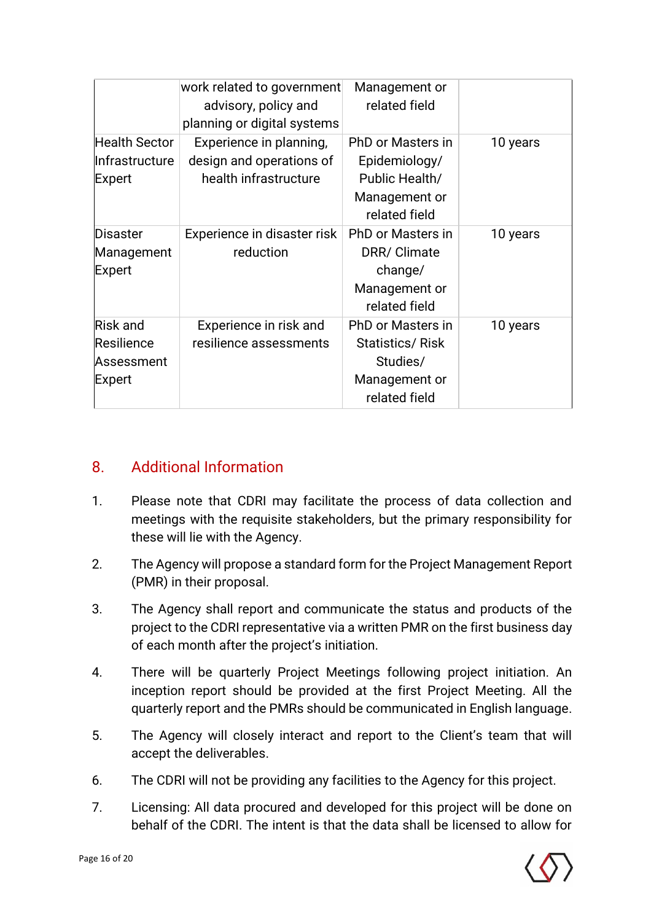|                                                       | work related to government<br>advisory, policy and<br>planning or digital systems | Management or<br>related field                                                                   |          |
|-------------------------------------------------------|-----------------------------------------------------------------------------------|--------------------------------------------------------------------------------------------------|----------|
| Health Sector<br>Infrastructure<br><b>Expert</b>      | Experience in planning,<br>design and operations of<br>health infrastructure      | <b>PhD or Masters in</b><br>Epidemiology/<br>Public Health/<br>Management or<br>related field    | 10 years |
| <b>Disaster</b><br>Management<br>Expert               | Experience in disaster risk<br>reduction                                          | PhD or Masters in<br>DRR/ Climate<br>change/<br>Management or<br>related field                   | 10 years |
| <b>Risk and</b><br>Resilience<br>Assessment<br>Expert | Experience in risk and<br>resilience assessments                                  | <b>PhD or Masters in</b><br><b>Statistics/Risk</b><br>Studies/<br>Management or<br>related field | 10 years |

### 8. Additional Information

- 1. Please note that CDRI may facilitate the process of data collection and meetings with the requisite stakeholders, but the primary responsibility for these will lie with the Agency.
- 2. The Agency will propose a standard form for the Project Management Report (PMR) in their proposal.
- 3. The Agency shall report and communicate the status and products of the project to the CDRI representative via a written PMR on the first business day of each month after the project's initiation.
- 4. There will be quarterly Project Meetings following project initiation. An inception report should be provided at the first Project Meeting. All the quarterly report and the PMRs should be communicated in English language.
- 5. The Agency will closely interact and report to the Client's team that will accept the deliverables.
- 6. The CDRI will not be providing any facilities to the Agency for this project.
- 7. Licensing: All data procured and developed for this project will be done on behalf of the CDRI. The intent is that the data shall be licensed to allow for

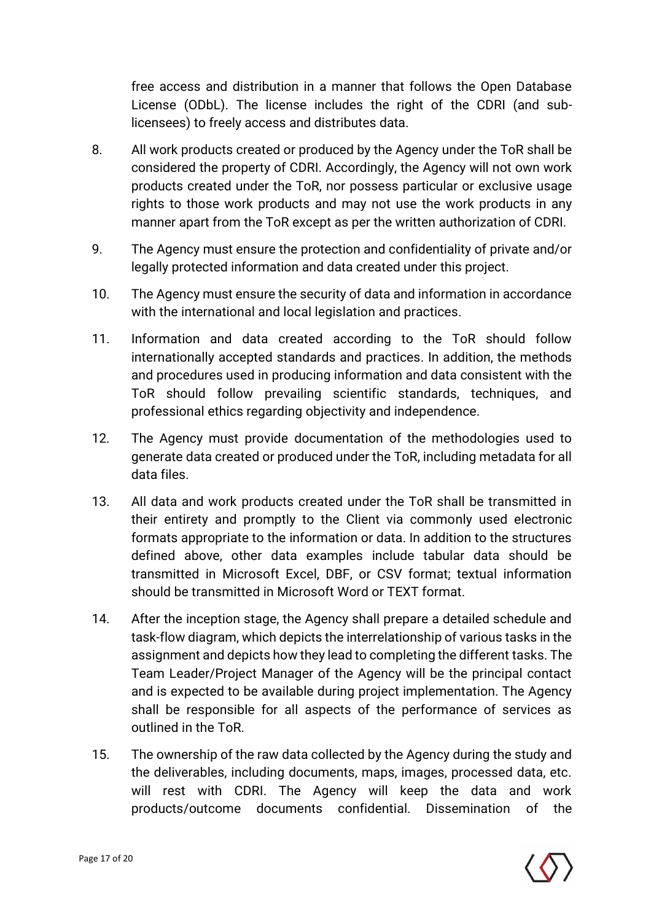free access and distribution in a manner that follows the Open Database License (ODbL). The license includes the right of the CDRI (and sublicensees) to freely access and distributes data.

- 8. All work products created or produced by the Agency under the ToR shall be considered the property of CDRI. Accordingly, the Agency will not own work products created under the ToR, nor possess particular or exclusive usage rights to those work products and may not use the work products in any manner apart from the ToR except as per the written authorization of CDRI.
- 9. The Agency must ensure the protection and confidentiality of private and/or legally protected information and data created under this project.
- 10. The Agency must ensure the security of data and information in accordance with the international and local legislation and practices.
- 11. Information and data created according to the ToR should follow internationally accepted standards and practices. In addition, the methods and procedures used in producing information and data consistent with the ToR should follow prevailing scientific standards, techniques, and professional ethics regarding objectivity and independence.
- 12. The Agency must provide documentation of the methodologies used to generate data created or produced under the ToR, including metadata for all data files.
- 13. All data and work products created under the ToR shall be transmitted in their entirety and promptly to the Client via commonly used electronic formats appropriate to the information or data. In addition to the structures defined above, other data examples include tabular data should be transmitted in Microsoft Excel, DBF, or CSV format; textual information should be transmitted in Microsoft Word or TEXT format.
- 14. After the inception stage, the Agency shall prepare a detailed schedule and task-flow diagram, which depicts the interrelationship of various tasks in the assignment and depicts how they lead to completing the different tasks. The Team Leader/Project Manager of the Agency will be the principal contact and is expected to be available during project implementation. The Agency shall be responsible for all aspects of the performance of services as outlined in the ToR.
- 15. The ownership of the raw data collected by the Agency during the study and the deliverables, including documents, maps, images, processed data, etc. will rest with CDRI. The Agency will keep the data and work products/outcome documents confidential. Dissemination of the

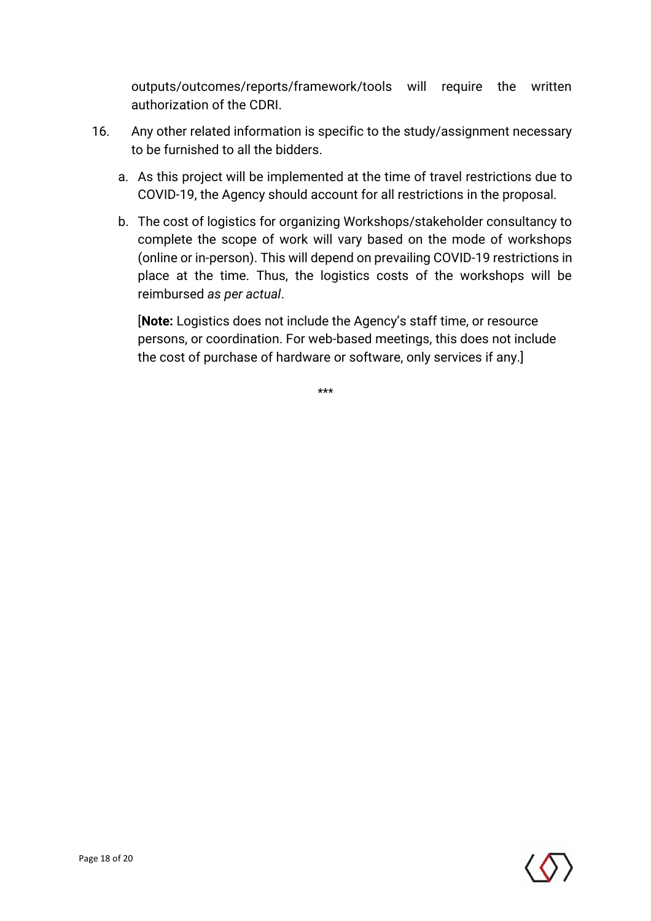outputs/outcomes/reports/framework/tools will require the written authorization of the CDRI.

- 16. Any other related information is specific to the study/assignment necessary to be furnished to all the bidders.
	- a. As this project will be implemented at the time of travel restrictions due to COVID-19, the Agency should account for all restrictions in the proposal.
	- b. The cost of logistics for organizing Workshops/stakeholder consultancy to complete the scope of work will vary based on the mode of workshops (online or in-person). This will depend on prevailing COVID-19 restrictions in place at the time. Thus, the logistics costs of the workshops will be reimbursed *as per actual*.

[**Note:** Logistics does not include the Agency's staff time, or resource persons, or coordination. For web-based meetings, this does not include the cost of purchase of hardware or software, only services if any.]

\*\*\*

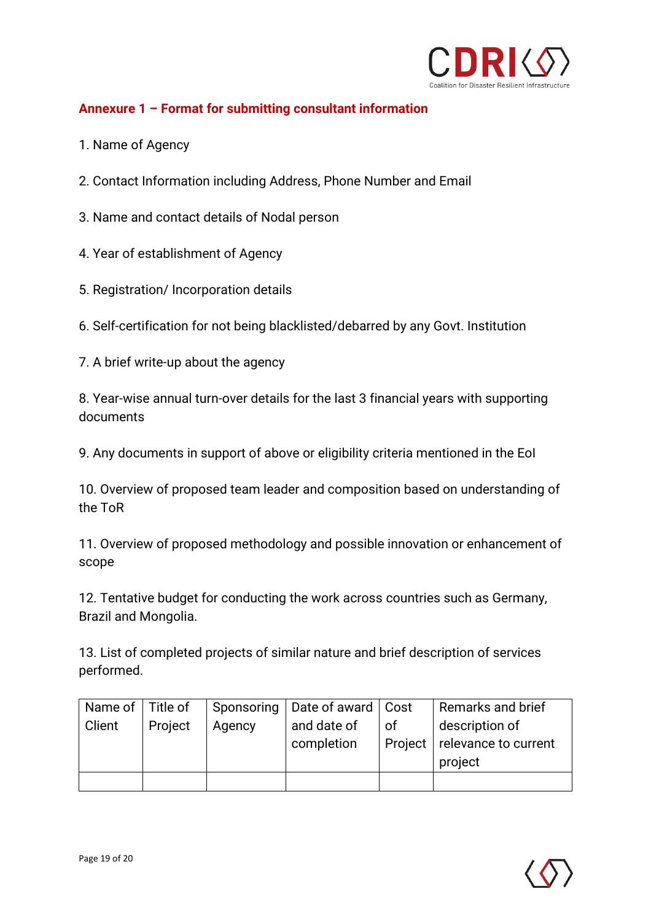

#### **Annexure 1 – Format for submitting consultant information**

- 1. Name of Agency
- 2. Contact Information including Address, Phone Number and Email
- 3. Name and contact details of Nodal person
- 4. Year of establishment of Agency
- 5. Registration/ Incorporation details
- 6. Self-certification for not being blacklisted/debarred by any Govt. Institution
- 7. A brief write-up about the agency

8. Year-wise annual turn-over details for the last 3 financial years with supporting documents

9. Any documents in support of above or eligibility criteria mentioned in the EoI

10. Overview of proposed team leader and composition based on understanding of the ToR

11. Overview of proposed methodology and possible innovation or enhancement of scope

12. Tentative budget for conducting the work across countries such as Germany, Brazil and Mongolia.

13. List of completed projects of similar nature and brief description of services performed.

| Name of   Title of |         |        | Sponsoring   Date of award   Cost |         | Remarks and brief    |
|--------------------|---------|--------|-----------------------------------|---------|----------------------|
| Client             | Project | Agency | and date of                       | of      | description of       |
|                    |         |        | completion                        | Project | relevance to current |
|                    |         |        |                                   |         | project              |
|                    |         |        |                                   |         |                      |